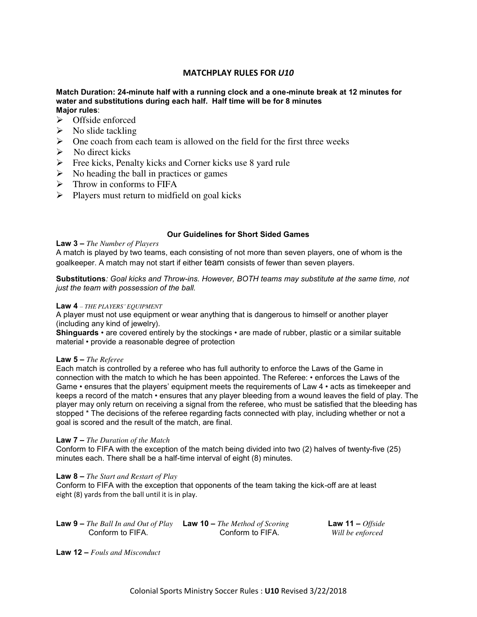# **MATCHPLAY RULES FOR** *U10*

## **Match Duration: 24-minute half with a running clock and a one-minute break at 12 minutes for water and substitutions during each half. Half time will be for 8 minutes Major rules**:

- $\triangleright$  Offside enforced
- $\triangleright$  No slide tackling
- $\triangleright$  One coach from each team is allowed on the field for the first three weeks
- $\triangleright$  No direct kicks
- $\triangleright$  Free kicks, Penalty kicks and Corner kicks use 8 yard rule
- $\triangleright$  No heading the ball in practices or games
- $\triangleright$  Throw in conforms to FIFA
- $\triangleright$  Players must return to midfield on goal kicks

#### **Our Guidelines for Short Sided Games**

#### **Law 3 –** *The Number of Players*

A match is played by two teams, each consisting of not more than seven players, one of whom is the goalkeeper. A match may not start if either team consists of fewer than seven players.

**Substitutions***: Goal kicks and Throw-ins. However, BOTH teams may substitute at the same time, not just the team with possession of the ball.*

#### **Law 4** *– THE PLAYERS' EQUIPMENT*

A player must not use equipment or wear anything that is dangerous to himself or another player (including any kind of jewelry).

**Shinguards** • are covered entirely by the stockings • are made of rubber, plastic or a similar suitable material • provide a reasonable degree of protection

#### **Law 5 –** *The Referee*

Each match is controlled by a referee who has full authority to enforce the Laws of the Game in connection with the match to which he has been appointed. The Referee: • enforces the Laws of the Game • ensures that the players' equipment meets the requirements of Law 4 • acts as timekeeper and keeps a record of the match • ensures that any player bleeding from a wound leaves the field of play. The player may only return on receiving a signal from the referee, who must be satisfied that the bleeding has stopped \* The decisions of the referee regarding facts connected with play, including whether or not a goal is scored and the result of the match, are final.

#### **Law 7 –** *The Duration of the Match*

Conform to FIFA with the exception of the match being divided into two (2) halves of twenty-five (25) minutes each. There shall be a half-time interval of eight (8) minutes.

#### **Law 8 –** *The Start and Restart of Play*

Conform to FIFA with the exception that opponents of the team taking the kick-off are at least eight (8) yards from the ball until it is in play.

| <b>Law 9 –</b> The Ball In and Out of Play <b>Law 10 –</b> The Method of Scoring |                  | <b>Law 11 –</b> <i>Offside</i> |
|----------------------------------------------------------------------------------|------------------|--------------------------------|
| Conform to FIFA.                                                                 | Conform to FIFA. | Will be enforced               |

**Law 12 –** *Fouls and Misconduct*